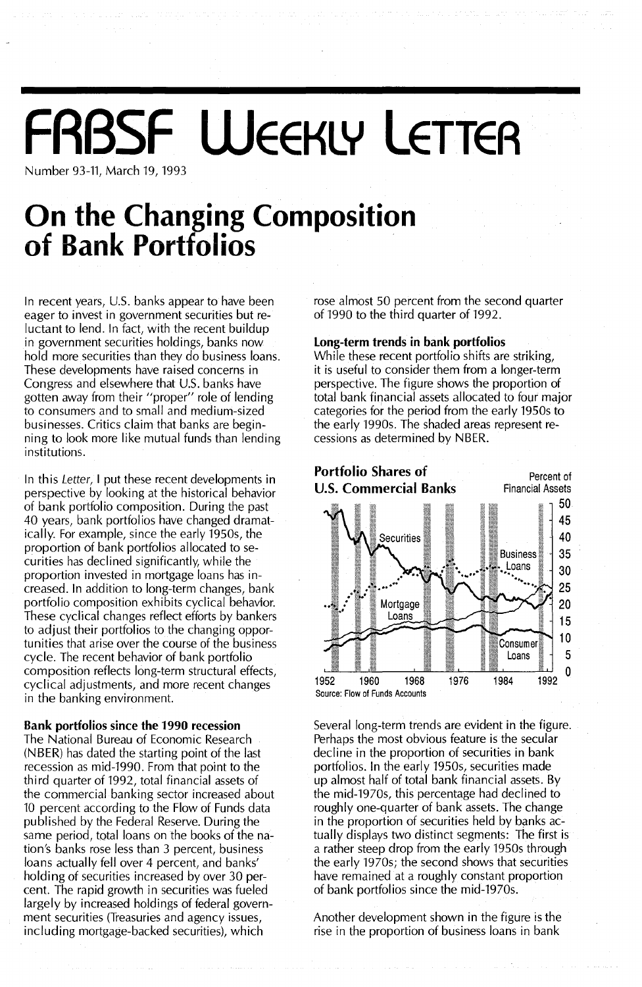# **FRBSF WEEKLY LETTER**

Number 93-11, March 19, 1993

# **On the Changing Composition of Bank Portfolios**

In recent years, U.S. banks appear to have been eager to invest in government securities but reluctant to lend. In fact, with the recent buildup in government securities holdings, banks now hold more securities than they do business loans. These developments have raised concerns in Congress and elsewhere that U.S. banks have gotten away from their "proper" role of lending to consumers and to small and medium-sized businesses. Critics claim that banks are beginning to look more like mutual funds than lending institutions.

In this Letter, I put these recent developments in perspective by looking at the historical behavior of bank portfolio composition. During the past 40 years, bank portfolios have changed dramatically. For example, since the early 1950s, the proportion of bank portfolios allocated to securities has declined significantly, while the proportion invested in mortgage loans has increased. In addition to long-term changes, bank portfolio composition exhibits cyclical behavior. These cyclical changes reflect efforts by bankers to adjust their portfolios to the changing opportunities that arise over the course of the business cycle. The recent behavior of bank portfolio composition reflects long-term structural effects, cyclical adjustments, and more recent changes in the banking environment.

### Bank portfolios since the 1990 recession

The National Bureau of Economic Research (NBER) has dated the starting point of the last recession as mid-1990. From that point to the third quarter of 1992, total financial assets of the commercial banking sector increased about 10 percent according to the Flow of Funds data published by the Federal Reserve. During the same period, total loans on the books of the nation's banks rose less than 3 percent, business loans actually fell over 4 percent, and banks' holding of securities increased by over 30 percent. The rapid growth in securities was fueled largely by increased holdings of federal government securities (Treasuries and agency issues, including mortgage-backed securities), which

rose almost 50 percent from the second quarter of 1990 to the third quarter of 1992.

### Long-term trends in bank portfolios

While these recent portfolio shifts are striking, it is useful to consider them from a longer-term perspective. The figure shows the proportion of total bank financial assets allocated to four major categories for the period from the early 1950s to the early 1990s. The shaded areas represent recessions as determined by NBER.



Several long-term trends are evident in the figure. Perhaps the most obvious feature is the secular decline in the proportion of securities in bank portfolios. In the early 1950s, securities made up almost half of total bank financial assets. By the mid-1970s, this percentage had declined to roughly one-quarter of bank assets. The change in the proportion of securities held by banks actually displays two distinct segments: The first is a rather steep drop from the early 1950s through the early 1970s; the second shows that securities have remained at a roughly constant proportion of bank portfolios since the mid-1970s.

Another development shown in the figure is the rise in the proportion of business loans in bank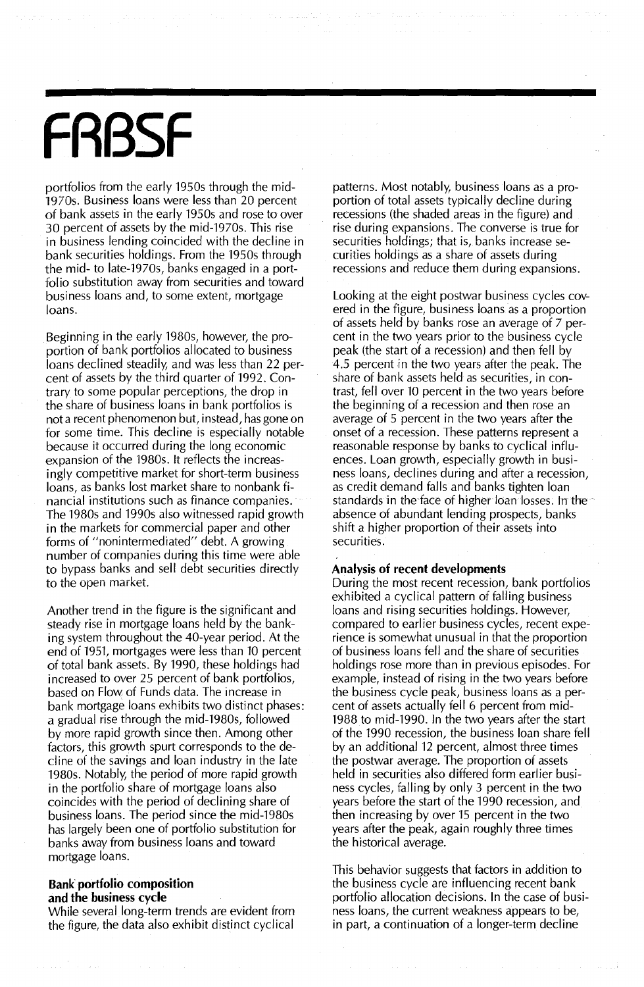# **FABSF**

portfolios from the early 1950s through the mid-1970s. Business loans were less than 20 percent of bank assets in the early 1950s and rose to over 30 percent of assets by the mid-1970s. This rise in business lending coincided with the decline in bank securities holdings. From the 1950s through the mid- to late-1970s, banks engaged in a portfolio substitution away from securities and toward business loans and, to some extent, mortgage loans.

Beginning in the early 1980s, however, the proportion of bank portfolios allocated to business loans declined steadily, and was less than 22 percent of assets by the third quarter of 1992. Contrary to some popular perceptions, the drop in the share of business loans in bank portfolios is not a recent phenomenon but, instead, has gone on for some time. This decline is especially notable because it occurred during the long economic expansion of the 1980s. It reflects the increasingly competitive market for short-term business loans, as banks lost market share to nonbank financial institutions such as finance companies. The 1980s and 1990s also witnessed rapid growth in the markets for commercial paper and other forms of "nonintermediated" debt. A growing number of companies during this time were able to bypass banks and sell debt securities directly to the open market.

Another trend in the figure is the significant and steady rise in mortgage loans held by the banking system throughout the 40-year period. At the end of 1951, mortgages were less than 10 percent of total bank assets. By 1990, these holdings had increased to over 25 percent of bank portfolios, based on Flow of Funds data. The increase in bank mortgage loans exhibits two distinct phases: a gradual rise through the mid-1980s, followed by more rapid growth since then. Among other factors, this growth spurt corresponds to the decline of the savings and loan industry in the late 1980s. Notably, the period of more rapid growth in the portfolio share of mortgage loans also coincides with the period of declining share of business loans. The period since the mid-1980s has largely been one of portfolio substitution for banks away from business loans and toward mortgage loans.

#### **Bank portfolio composition and the business cycle**

While several long-term trends are evident from the figure, the data also exhibit distinct cyclical

patterns. Most notably, business loans as a proportion of total assets typically decline during recessions (the shaded areas in the figure) and rise during expansions. The converse is true for securities holdings; that is, banks increase securities holdings as a share of assets during recessions and reduce them during expansions.

Looking at the eight postwar business cycles covered in the figure, business loans as a proportion of assets held by banks rose an average of 7 percent in the two years prior to the business cycle peak (the start of a recession) and then fell by 4.5 percent in the two years after the peak. The share of bank assets held as securities, in contrast, fell over 10 percent in the two years before the beginning of a recession and then rose an average of 5 percent in the two years after the onset of a recession. These patterns represent a reasonable response by banks to cyclical influences. Loan growth, especially growth in business loans, declines during and after a recession, as credit demand falls and banks tighten loan standards in the face of higher loan losses. In the absence of abundant lending prospects, banks shift a higher proportion of their assets into securities.

#### **Analysis of recent developments**

During the most recent recession, bank portfolios exhibited a cyclical pattern of falling business loans and rising securities holdings. However, compared to earlier business cycles, recent experience is somewhat unusual in that the proportion of business loans fell and the share of securities holdings rose more than in previous episodes. For example, instead of rising in the two years before the business cycle peak, business loans as a percent of assets actually fell 6 percent from mid-1988 to mid-1990. In the two years after the start of the 1990 recession, the business loan share fell by an additional 12 percent, almost three times the postwar average. The proportion of assets held in securities also differed form earlier business cycles, falling by only 3 percent in the two years before the start of the 1990 recession, and then increasing by over 15 percent in the two years after the peak, again roughly three times the historical average.

This behavior suggests that factors in addition to the business cycle are influencing recent bank portfolio allocation decisions. In the case of business loans, the current weakness appears to be, in part, a continuation of a longer-term decline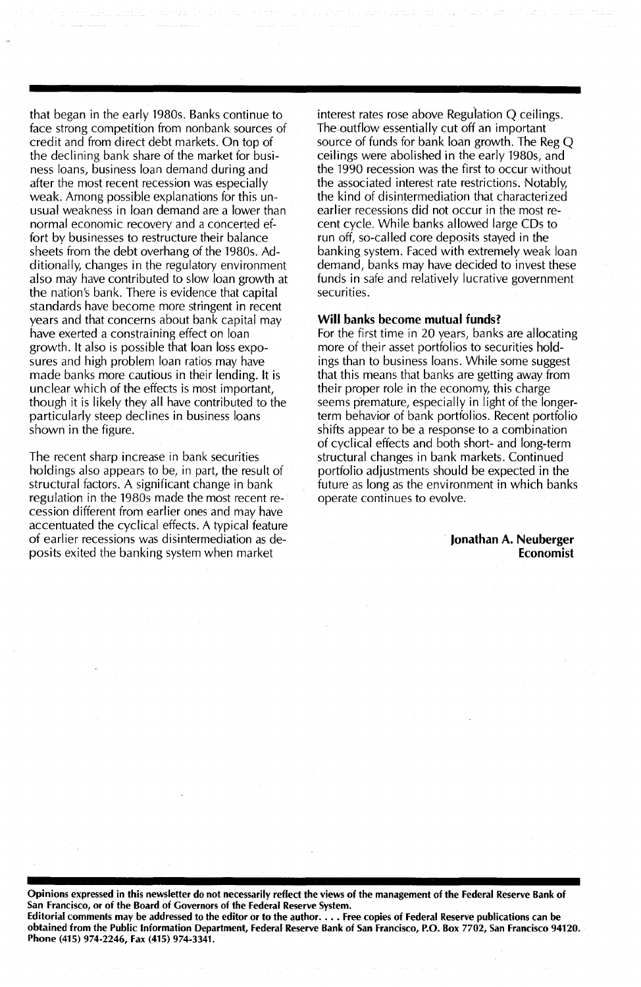that began in the early 1980s. Banks continue to face strong competition from nonbank sources of credit and from direct debt markets. On top of the declining bank share of the market for business loans, business loan demand during and after the most recent recession was especially weak. Among possible explanations for this unusual weakness in loan demand are a lower than normal economic recovery and a concerted effort by businesses to restructure their balance sheets from the debt overhang of the 1980s. Additionally, changes in the regulatory environment also may have contributed to slow loan growth at the nation's bank. There is evidence that capital standards have become more stringent in recent years and that concerns about bank capital may have exerted a constraining effect on loan growth. It also is possible that loan loss exposures and high problem loan ratios may have made banks more cautious in their lending. It is unclear which of the effects is most important, though it is likely they all have contributed to the particularly steep declines in business loans shown in the figure.

The recent sharp increase in bank securities holdings also appears to be, in part, the result of structural factors. A significant change in bank regulation in the 1980s made the most recent recession different from earlier ones and may have accentuated the cyclical effects. A typical feature of earlier recessions was disintermediation as deposits exited the banking system when market

interest rates rose above Regulation Q ceilings. The outflow essentially cut off an important source of funds for bank loan growth. The Reg Q ceilings were abolished in the early 1980s, and the 1990 recession was the first to occur without the associated interest rate restrictions. Notably, the kind of disintermediation that characterized earlier recessions did not occur in the most recent cycle. While banks allowed large CDs to run off, so-called core deposits stayed in the banking system. Faced with extremely weak loan demand, banks may have decided to invest these funds in safe and relatively lucrative government securities.

#### Will banks become mutual funds?

For the first time in 20 years, banks are allocating more of their asset portfolios to securities holdings than to business loans. While some suggest that this means that banks are getting away from their proper role in the economy, this charge seems premature, especially in light of the longerterm behavior of bank portfolios. Recent portfolio shifts appear to be a response to a combination of cyclical effects and both short- and long-term structural changes in bank markets. Continued portfolio adjustments should be expected in the future as long as the environment in which banks operate continues to evolve.

> Jonathan A. Neuberger Economist

Opinions expressed in this newsletter do not necessarily reflect the views of the management of the Federal Reserve Bank of San Francisco, or of the Board of Governors of the Federal Reserve System.

Editorial comments may be addressed to the editor or to the author. . . . Free copies of Federal Reserve publications can be obtained from the Public Information Department, Federal Reserve Bank of San Francisco, P.O. Box 7702, San Francisco 94120. Phone (415) 974·2246, Fax (415) 974·3341.